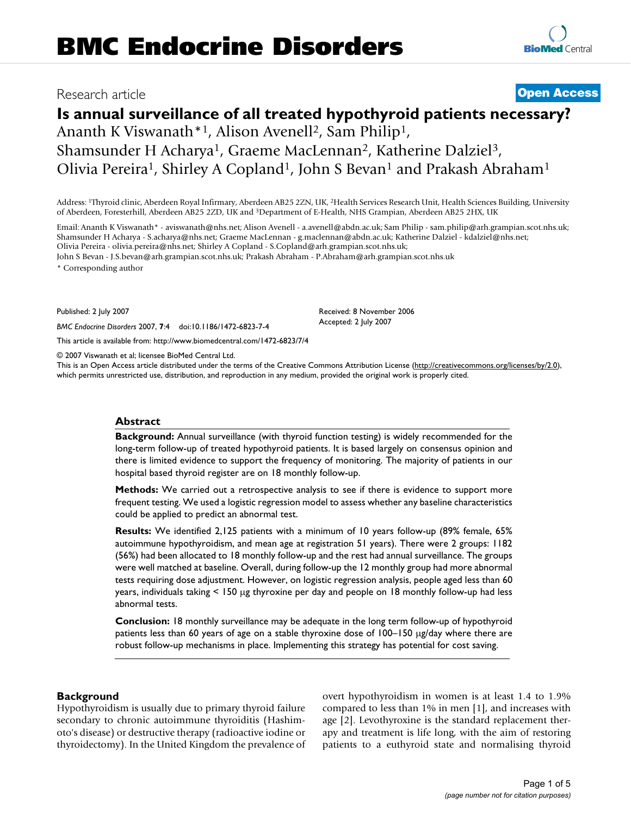# Research article **[Open Access](http://www.biomedcentral.com/info/about/charter/)**

# **Is annual surveillance of all treated hypothyroid patients necessary?**

Ananth K Viswanath<sup>\*1</sup>, Alison Avenell<sup>2</sup>, Sam Philip<sup>1</sup>, Shamsunder H Acharya<sup>1</sup>, Graeme MacLennan<sup>2</sup>, Katherine Dalziel<sup>3</sup>, Olivia Pereira<sup>1</sup>, Shirley A Copland<sup>1</sup>, John S Bevan<sup>1</sup> and Prakash Abraham<sup>1</sup>

Address: 1Thyroid clinic, Aberdeen Royal Infirmary, Aberdeen AB25 2ZN, UK, 2Health Services Research Unit, Health Sciences Building, University of Aberdeen, Foresterhill, Aberdeen AB25 2ZD, UK and 3Department of E-Health, NHS Grampian, Aberdeen AB25 2HX, UK

Email: Ananth K Viswanath\* - aviswanath@nhs.net; Alison Avenell - a.avenell@abdn.ac.uk; Sam Philip - sam.philip@arh.grampian.scot.nhs.uk; Shamsunder H Acharya - S.acharya@nhs.net; Graeme MacLennan - g.maclennan@abdn.ac.uk; Katherine Dalziel - kdalziel@nhs.net; Olivia Pereira - olivia.pereira@nhs.net; Shirley A Copland - S.Copland@arh.grampian.scot.nhs.uk;

> Received: 8 November 2006 Accepted: 2 July 2007

John S Bevan - J.S.bevan@arh.grampian.scot.nhs.uk; Prakash Abraham - P.Abraham@arh.grampian.scot.nhs.uk \* Corresponding author

Published: 2 July 2007

*BMC Endocrine Disorders* 2007, **7**:4 doi:10.1186/1472-6823-7-4

[This article is available from: http://www.biomedcentral.com/1472-6823/7/4](http://www.biomedcentral.com/1472-6823/7/4)

© 2007 Viswanath et al; licensee BioMed Central Ltd.

This is an Open Access article distributed under the terms of the Creative Commons Attribution License [\(http://creativecommons.org/licenses/by/2.0\)](http://creativecommons.org/licenses/by/2.0), which permits unrestricted use, distribution, and reproduction in any medium, provided the original work is properly cited.

# **Abstract**

**Background:** Annual surveillance (with thyroid function testing) is widely recommended for the long-term follow-up of treated hypothyroid patients. It is based largely on consensus opinion and there is limited evidence to support the frequency of monitoring. The majority of patients in our hospital based thyroid register are on 18 monthly follow-up.

**Methods:** We carried out a retrospective analysis to see if there is evidence to support more frequent testing. We used a logistic regression model to assess whether any baseline characteristics could be applied to predict an abnormal test.

**Results:** We identified 2,125 patients with a minimum of 10 years follow-up (89% female, 65% autoimmune hypothyroidism, and mean age at registration 51 years). There were 2 groups: 1182 (56%) had been allocated to 18 monthly follow-up and the rest had annual surveillance. The groups were well matched at baseline. Overall, during follow-up the 12 monthly group had more abnormal tests requiring dose adjustment. However, on logistic regression analysis, people aged less than 60 years, individuals taking < 150 µg thyroxine per day and people on 18 monthly follow-up had less abnormal tests.

**Conclusion:** 18 monthly surveillance may be adequate in the long term follow-up of hypothyroid patients less than 60 years of age on a stable thyroxine dose of 100–150 µg/day where there are robust follow-up mechanisms in place. Implementing this strategy has potential for cost saving.

# **Background**

Hypothyroidism is usually due to primary thyroid failure secondary to chronic autoimmune thyroiditis (Hashimoto's disease) or destructive therapy (radioactive iodine or thyroidectomy). In the United Kingdom the prevalence of overt hypothyroidism in women is at least 1.4 to 1.9% compared to less than 1% in men [1], and increases with age [2]. Levothyroxine is the standard replacement therapy and treatment is life long, with the aim of restoring patients to a euthyroid state and normalising thyroid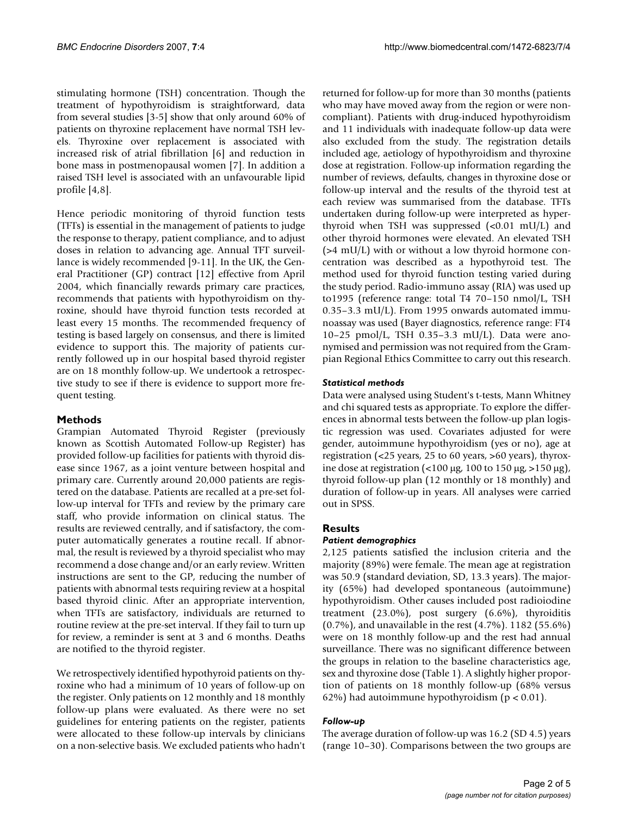stimulating hormone (TSH) concentration. Though the treatment of hypothyroidism is straightforward, data from several studies [3-5] show that only around 60% of patients on thyroxine replacement have normal TSH levels. Thyroxine over replacement is associated with increased risk of atrial fibrillation [6] and reduction in bone mass in postmenopausal women [7]. In addition a raised TSH level is associated with an unfavourable lipid profile [4,8].

Hence periodic monitoring of thyroid function tests (TFTs) is essential in the management of patients to judge the response to therapy, patient compliance, and to adjust doses in relation to advancing age. Annual TFT surveillance is widely recommended [9-11]. In the UK, the General Practitioner (GP) contract [12] effective from April 2004, which financially rewards primary care practices, recommends that patients with hypothyroidism on thyroxine, should have thyroid function tests recorded at least every 15 months. The recommended frequency of testing is based largely on consensus, and there is limited evidence to support this. The majority of patients currently followed up in our hospital based thyroid register are on 18 monthly follow-up. We undertook a retrospective study to see if there is evidence to support more frequent testing.

# **Methods**

Grampian Automated Thyroid Register (previously known as Scottish Automated Follow-up Register) has provided follow-up facilities for patients with thyroid disease since 1967, as a joint venture between hospital and primary care. Currently around 20,000 patients are registered on the database. Patients are recalled at a pre-set follow-up interval for TFTs and review by the primary care staff, who provide information on clinical status. The results are reviewed centrally, and if satisfactory, the computer automatically generates a routine recall. If abnormal, the result is reviewed by a thyroid specialist who may recommend a dose change and/or an early review. Written instructions are sent to the GP, reducing the number of patients with abnormal tests requiring review at a hospital based thyroid clinic. After an appropriate intervention, when TFTs are satisfactory, individuals are returned to routine review at the pre-set interval. If they fail to turn up for review, a reminder is sent at 3 and 6 months. Deaths are notified to the thyroid register.

We retrospectively identified hypothyroid patients on thyroxine who had a minimum of 10 years of follow-up on the register. Only patients on 12 monthly and 18 monthly follow-up plans were evaluated. As there were no set guidelines for entering patients on the register, patients were allocated to these follow-up intervals by clinicians on a non-selective basis. We excluded patients who hadn't

returned for follow-up for more than 30 months (patients who may have moved away from the region or were noncompliant). Patients with drug-induced hypothyroidism and 11 individuals with inadequate follow-up data were also excluded from the study. The registration details included age, aetiology of hypothyroidism and thyroxine dose at registration. Follow-up information regarding the number of reviews, defaults, changes in thyroxine dose or follow-up interval and the results of the thyroid test at each review was summarised from the database. TFTs undertaken during follow-up were interpreted as hyperthyroid when TSH was suppressed (<0.01 mU/L) and other thyroid hormones were elevated. An elevated TSH (>4 mU/L) with or without a low thyroid hormone concentration was described as a hypothyroid test. The method used for thyroid function testing varied during the study period. Radio-immuno assay (RIA) was used up to1995 (reference range: total T4 70–150 nmol/L, TSH 0.35–3.3 mU/L). From 1995 onwards automated immunoassay was used (Bayer diagnostics, reference range: FT4 10–25 pmol/L, TSH 0.35–3.3 mU/L). Data were anonymised and permission was not required from the Grampian Regional Ethics Committee to carry out this research.

# *Statistical methods*

Data were analysed using Student's t-tests, Mann Whitney and chi squared tests as appropriate. To explore the differences in abnormal tests between the follow-up plan logistic regression was used. Covariates adjusted for were gender, autoimmune hypothyroidism (yes or no), age at registration (<25 years, 25 to 60 years, >60 years), thyroxine dose at registration (<100 µg, 100 to 150 µg, >150 µg), thyroid follow-up plan (12 monthly or 18 monthly) and duration of follow-up in years. All analyses were carried out in SPSS.

# **Results**

# *Patient demographics*

2,125 patients satisfied the inclusion criteria and the majority (89%) were female. The mean age at registration was 50.9 (standard deviation, SD, 13.3 years). The majority (65%) had developed spontaneous (autoimmune) hypothyroidism. Other causes included post radioiodine treatment (23.0%), post surgery (6.6%), thyroiditis (0.7%), and unavailable in the rest (4.7%). 1182 (55.6%) were on 18 monthly follow-up and the rest had annual surveillance. There was no significant difference between the groups in relation to the baseline characteristics age, sex and thyroxine dose (Table 1). A slightly higher proportion of patients on 18 monthly follow-up (68% versus 62%) had autoimmune hypothyroidism ( $p < 0.01$ ).

# *Follow-up*

The average duration of follow-up was 16.2 (SD 4.5) years (range 10–30). Comparisons between the two groups are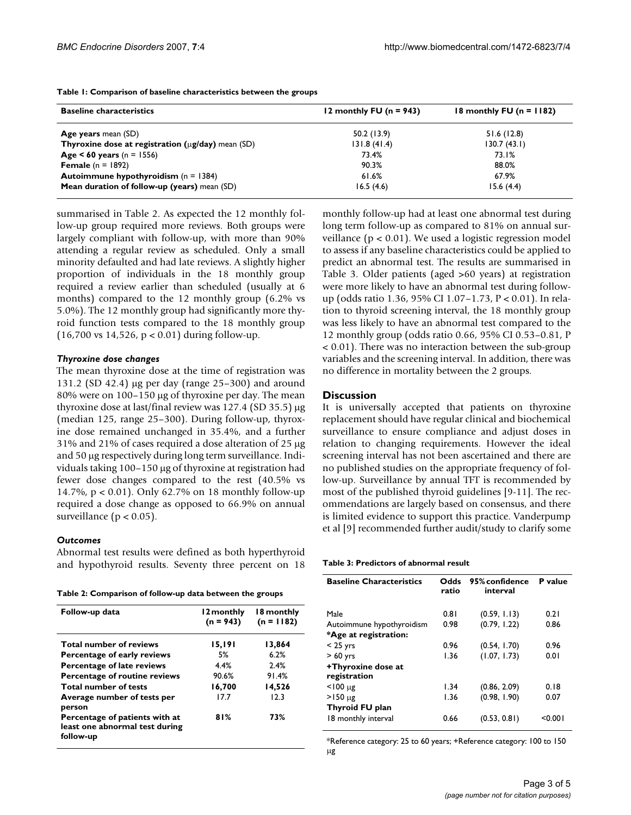| <b>Baseline characteristics</b>                                         | 12 monthly FU ( $n = 943$ ) | 18 monthly FU ( $n = 1182$ )<br>51.6(12.8) |  |
|-------------------------------------------------------------------------|-----------------------------|--------------------------------------------|--|
| <b>Age years</b> mean (SD)                                              | 50.2 (13.9)                 |                                            |  |
| <b>Thyroxine dose at registration (<math>\mu</math>g/day)</b> mean (SD) | 131.8(41.4)                 | 130.7(43.1)                                |  |
| Age < 60 years ( $n = 1556$ )                                           | 73.4%                       | 73.I%                                      |  |
| <b>Female</b> $(n = 1892)$                                              | 90.3%                       | 88.0%                                      |  |
| <b>Autoimmune hypothyroidism</b> $(n = 1384)$                           | 61.6%                       | 67.9%                                      |  |
| Mean duration of follow-up (years) mean (SD)                            | 16.5(4.6)                   | 15.6(4.4)                                  |  |

**Table 1: Comparison of baseline characteristics between the groups**

summarised in Table 2. As expected the 12 monthly follow-up group required more reviews. Both groups were largely compliant with follow-up, with more than 90% attending a regular review as scheduled. Only a small minority defaulted and had late reviews. A slightly higher proportion of individuals in the 18 monthly group required a review earlier than scheduled (usually at 6 months) compared to the 12 monthly group (6.2% vs 5.0%). The 12 monthly group had significantly more thyroid function tests compared to the 18 monthly group (16,700 vs 14,526, p < 0.01) during follow-up.

#### *Thyroxine dose changes*

The mean thyroxine dose at the time of registration was 131.2 (SD 42.4) µg per day (range 25–300) and around 80% were on 100–150 µg of thyroxine per day. The mean thyroxine dose at last/final review was 127.4 (SD 35.5) µg (median 125, range 25–300). During follow-up, thyroxine dose remained unchanged in 35.4%, and a further 31% and 21% of cases required a dose alteration of 25 µg and 50 µg respectively during long term surveillance. Individuals taking 100–150 µg of thyroxine at registration had fewer dose changes compared to the rest (40.5% vs 14.7%, p < 0.01). Only 62.7% on 18 monthly follow-up required a dose change as opposed to 66.9% on annual surveillance ( $p < 0.05$ ).

### *Outcomes*

Abnormal test results were defined as both hyperthyroid and hypothyroid results. Seventy three percent on 18

**Table 2: Comparison of follow-up data between the groups**

| Follow-up data                                                                | l 2 monthly<br>$(n = 943)$ | 18 monthly<br>$(n = 1182)$ |
|-------------------------------------------------------------------------------|----------------------------|----------------------------|
| <b>Total number of reviews</b>                                                | 15,191                     | 13,864                     |
| Percentage of early reviews                                                   | .5%                        | 6.2%                       |
| <b>Percentage of late reviews</b>                                             | 4.4%                       | 2.4%                       |
| Percentage of routine reviews                                                 | 90.6%                      | 91.4%                      |
| <b>Total number of tests</b>                                                  | 16,700                     | 14,526                     |
| Average number of tests per<br>person                                         | 17.7                       | 12.3                       |
| Percentage of patients with at<br>least one abnormal test during<br>follow-up | 81%                        | 73%                        |

monthly follow-up had at least one abnormal test during long term follow-up as compared to 81% on annual surveillance (p < 0.01). We used a logistic regression model to assess if any baseline characteristics could be applied to predict an abnormal test. The results are summarised in Table 3. Older patients (aged >60 years) at registration were more likely to have an abnormal test during followup (odds ratio 1.36, 95% CI 1.07–1.73, P < 0.01). In relation to thyroid screening interval, the 18 monthly group was less likely to have an abnormal test compared to the 12 monthly group (odds ratio 0.66, 95% CI 0.53–0.81, P < 0.01). There was no interaction between the sub-group variables and the screening interval. In addition, there was no difference in mortality between the 2 groups.

#### **Discussion**

It is universally accepted that patients on thyroxine replacement should have regular clinical and biochemical surveillance to ensure compliance and adjust doses in relation to changing requirements. However the ideal screening interval has not been ascertained and there are no published studies on the appropriate frequency of follow-up. Surveillance by annual TFT is recommended by most of the published thyroid guidelines [9-11]. The recommendations are largely based on consensus, and there is limited evidence to support this practice. Vanderpump et al [9] recommended further audit/study to clarify some

**Table 3: Predictors of abnormal result**

| <b>Baseline Characteristics</b> | Odds<br>ratio | 95% confidence<br>interval | P value |
|---------------------------------|---------------|----------------------------|---------|
| Male                            | 0.81          | (0.59, 1.13)               | 0.21    |
| Autoimmune hypothyroidism       | 0.98          | (0.79, 1.22)               | 0.86    |
| *Age at registration:           |               |                            |         |
| $<$ 25 yrs                      | 0.96          | (0.54, 1.70)               | 0.96    |
| $>60$ yrs                       | 1.36          | (1.07, 1.73)               | 0.01    |
| +Thyroxine dose at              |               |                            |         |
| registration                    |               |                            |         |
| $<$ 100 $\mu$ g                 | 1.34          | (0.86, 2.09)               | 0.18    |
| $>150 \mu g$                    | 1.36          | (0.98, 1.90)               | 0.07    |
| <b>Thyroid FU plan</b>          |               |                            |         |
| 18 monthly interval             | 0.66          | (0.53, 0.81)               | < 0.001 |

\*Reference category: 25 to 60 years; +Reference category: 100 to 150 µg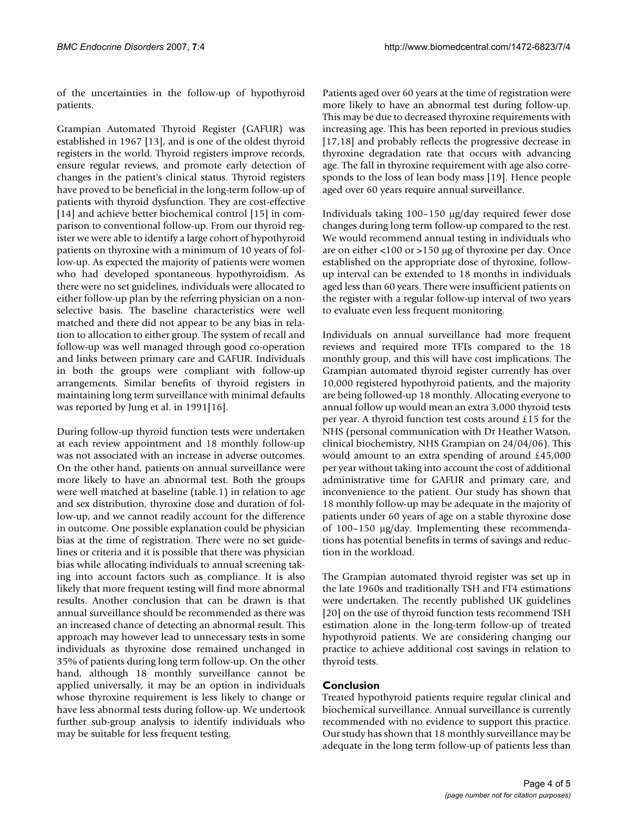of the uncertainties in the follow-up of hypothyroid patients.

Grampian Automated Thyroid Register (GAFUR) was established in 1967 [13], and is one of the oldest thyroid registers in the world. Thyroid registers improve records, ensure regular reviews, and promote early detection of changes in the patient's clinical status. Thyroid registers have proved to be beneficial in the long-term follow-up of patients with thyroid dysfunction. They are cost-effective [14] and achieve better biochemical control [15] in comparison to conventional follow-up. From our thyroid register we were able to identify a large cohort of hypothyroid patients on thyroxine with a minimum of 10 years of follow-up. As expected the majority of patients were women who had developed spontaneous hypothyroidism. As there were no set guidelines, individuals were allocated to either follow-up plan by the referring physician on a nonselective basis. The baseline characteristics were well matched and there did not appear to be any bias in relation to allocation to either group. The system of recall and follow-up was well managed through good co-operation and links between primary care and GAFUR. Individuals in both the groups were compliant with follow-up arrangements. Similar benefits of thyroid registers in maintaining long term surveillance with minimal defaults was reported by Jung et al. in 1991[16].

During follow-up thyroid function tests were undertaken at each review appointment and 18 monthly follow-up was not associated with an increase in adverse outcomes. On the other hand, patients on annual surveillance were more likely to have an abnormal test. Both the groups were well matched at baseline (table.1) in relation to age and sex distribution, thyroxine dose and duration of follow-up, and we cannot readily account for the difference in outcome. One possible explanation could be physician bias at the time of registration. There were no set guidelines or criteria and it is possible that there was physician bias while allocating individuals to annual screening taking into account factors such as compliance. It is also likely that more frequent testing will find more abnormal results. Another conclusion that can be drawn is that annual surveillance should be recommended as there was an increased chance of detecting an abnormal result. This approach may however lead to unnecessary tests in some individuals as thyroxine dose remained unchanged in 35% of patients during long term follow-up. On the other hand, although 18 monthly surveillance cannot be applied universally, it may be an option in individuals whose thyroxine requirement is less likely to change or have less abnormal tests during follow-up. We undertook further sub-group analysis to identify individuals who may be suitable for less frequent testing.

Patients aged over 60 years at the time of registration were more likely to have an abnormal test during follow-up. This may be due to decreased thyroxine requirements with increasing age. This has been reported in previous studies [17,18] and probably reflects the progressive decrease in thyroxine degradation rate that occurs with advancing age. The fall in thyroxine requirement with age also corresponds to the loss of lean body mass [19]. Hence people aged over 60 years require annual surveillance.

Individuals taking 100–150 µg/day required fewer dose changes during long term follow-up compared to the rest. We would recommend annual testing in individuals who are on either <100 or >150 µg of thyroxine per day. Once established on the appropriate dose of thyroxine, followup interval can be extended to 18 months in individuals aged less than 60 years. There were insufficient patients on the register with a regular follow-up interval of two years to evaluate even less frequent monitoring.

Individuals on annual surveillance had more frequent reviews and required more TFTs compared to the 18 monthly group, and this will have cost implications. The Grampian automated thyroid register currently has over 10,000 registered hypothyroid patients, and the majority are being followed-up 18 monthly. Allocating everyone to annual follow up would mean an extra 3,000 thyroid tests per year. A thyroid function test costs around £15 for the NHS (personal communication with Dr Heather Watson, clinical biochemistry, NHS Grampian on 24/04/06). This would amount to an extra spending of around £45,000 per year without taking into account the cost of additional administrative time for GAFUR and primary care, and inconvenience to the patient. Our study has shown that 18 monthly follow-up may be adequate in the majority of patients under 60 years of age on a stable thyroxine dose of 100–150 µg/day. Implementing these recommendations has potential benefits in terms of savings and reduction in the workload.

The Grampian automated thyroid register was set up in the late 1960s and traditionally TSH and FT4 estimations were undertaken. The recently published UK guidelines [20] on the use of thyroid function tests recommend TSH estimation alone in the long-term follow-up of treated hypothyroid patients. We are considering changing our practice to achieve additional cost savings in relation to thyroid tests.

# **Conclusion**

Treated hypothyroid patients require regular clinical and biochemical surveillance. Annual surveillance is currently recommended with no evidence to support this practice. Our study has shown that 18 monthly surveillance may be adequate in the long term follow-up of patients less than